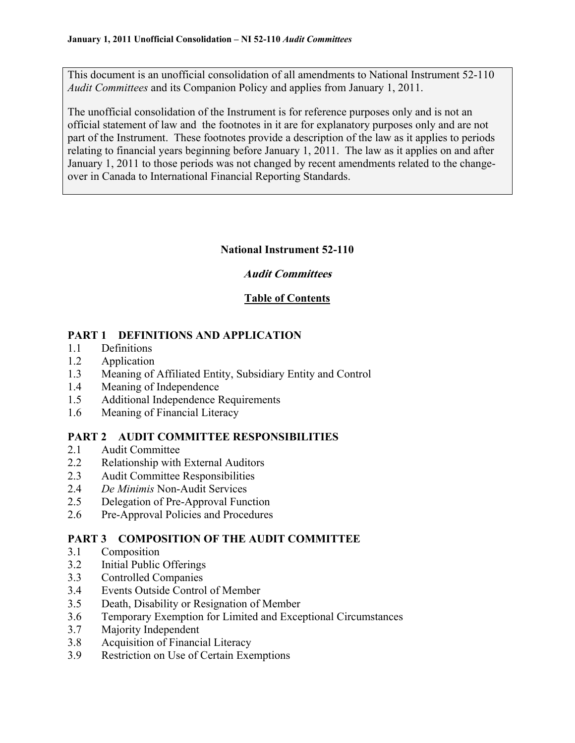This document is an unofficial consolidation of all amendments to National Instrument 52-110 *Audit Committees* and its Companion Policy and applies from January 1, 2011.

The unofficial consolidation of the Instrument is for reference purposes only and is not an official statement of law and the footnotes in it are for explanatory purposes only and are not part of the Instrument. These footnotes provide a description of the law as it applies to periods relating to financial years beginning before January 1, 2011. The law as it applies on and after January 1, 2011 to those periods was not changed by recent amendments related to the changeover in Canada to International Financial Reporting Standards.

**National Instrument 52-110** 

# **Audit Committees**

# **Table of Contents**

# **PART 1 DEFINITIONS AND APPLICATION**

- 1.1 Definitions
- 1.2 Application
- 1.3 Meaning of Affiliated Entity, Subsidiary Entity and Control
- 1.4 Meaning of Independence
- 1.5 Additional Independence Requirements
- 1.6 Meaning of Financial Literacy

# **PART 2 AUDIT COMMITTEE RESPONSIBILITIES**

- 2.1 Audit Committee
- 2.2 Relationship with External Auditors
- 2.3 Audit Committee Responsibilities
- 2.4 *De Minimis* Non-Audit Services
- 2.5 Delegation of Pre-Approval Function
- 2.6 Pre-Approval Policies and Procedures

# **PART 3 COMPOSITION OF THE AUDIT COMMITTEE**

- 3.1 Composition
- 3.2 Initial Public Offerings
- 3.3 Controlled Companies
- 3.4 Events Outside Control of Member
- 3.5 Death, Disability or Resignation of Member
- 3.6 Temporary Exemption for Limited and Exceptional Circumstances
- 3.7 Majority Independent
- 3.8 Acquisition of Financial Literacy
- 3.9 Restriction on Use of Certain Exemptions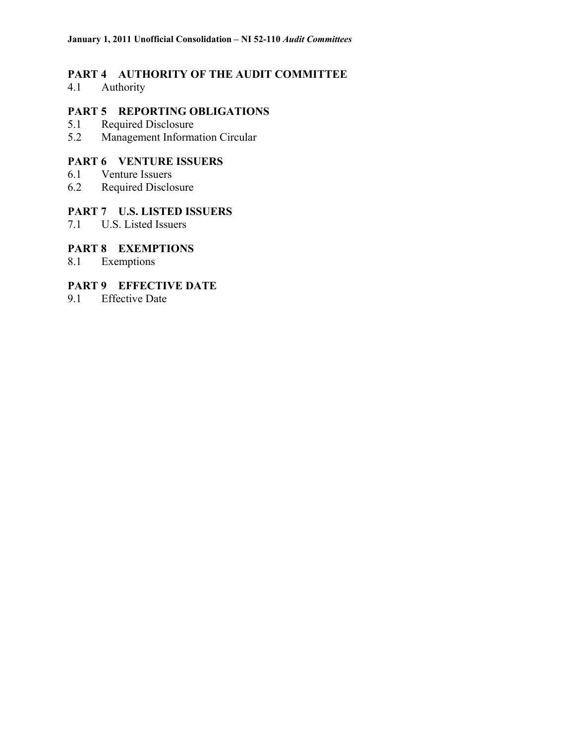# **PART 4 AUTHORITY OF THE AUDIT COMMITTEE**

4.1 Authority

# **PART 5 REPORTING OBLIGATIONS**

- 5.1 Required Disclosure
- 5.2 Management Information Circular

# **PART 6 VENTURE ISSUERS**

- 6.1 Venture Issuers
- 6.2 Required Disclosure

#### **PART 7 U.S. LISTED ISSUERS**

7.1 U.S. Listed Issuers

#### **PART 8 EXEMPTIONS**

8.1 Exemptions

# **PART 9 EFFECTIVE DATE**

9.1 Effective Date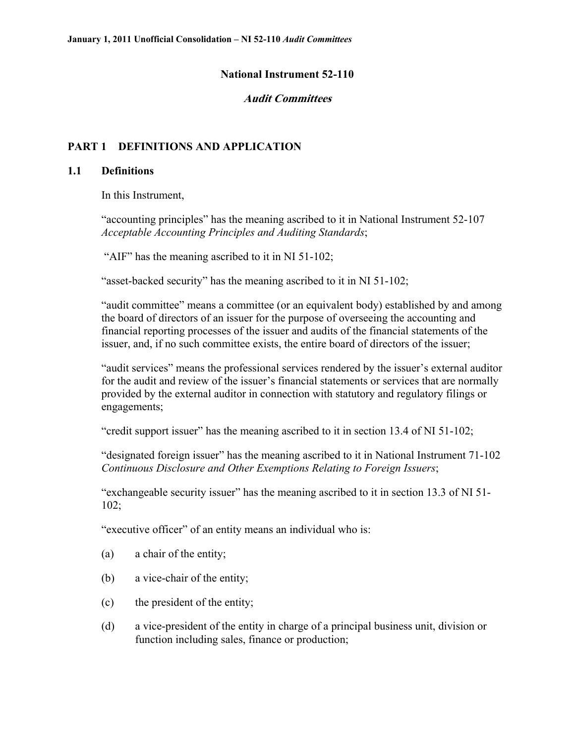# **National Instrument 52-110**

#### **Audit Committees**

# **PART 1 DEFINITIONS AND APPLICATION**

#### **1.1 Definitions**

In this Instrument,

"accounting principles" has the meaning ascribed to it in National Instrument 52-107 *Acceptable Accounting Principles and Auditing Standards*;

"AIF" has the meaning ascribed to it in NI 51-102;

"asset-backed security" has the meaning ascribed to it in NI 51-102;

"audit committee" means a committee (or an equivalent body) established by and among the board of directors of an issuer for the purpose of overseeing the accounting and financial reporting processes of the issuer and audits of the financial statements of the issuer, and, if no such committee exists, the entire board of directors of the issuer;

"audit services" means the professional services rendered by the issuer's external auditor for the audit and review of the issuer's financial statements or services that are normally provided by the external auditor in connection with statutory and regulatory filings or engagements;

"credit support issuer" has the meaning ascribed to it in section 13.4 of NI 51-102;

"designated foreign issuer" has the meaning ascribed to it in National Instrument 71-102 *Continuous Disclosure and Other Exemptions Relating to Foreign Issuers*;

"exchangeable security issuer" has the meaning ascribed to it in section 13.3 of NI 51- 102;

"executive officer" of an entity means an individual who is:

- (a) a chair of the entity;
- (b) a vice-chair of the entity;
- (c) the president of the entity;
- (d) a vice-president of the entity in charge of a principal business unit, division or function including sales, finance or production;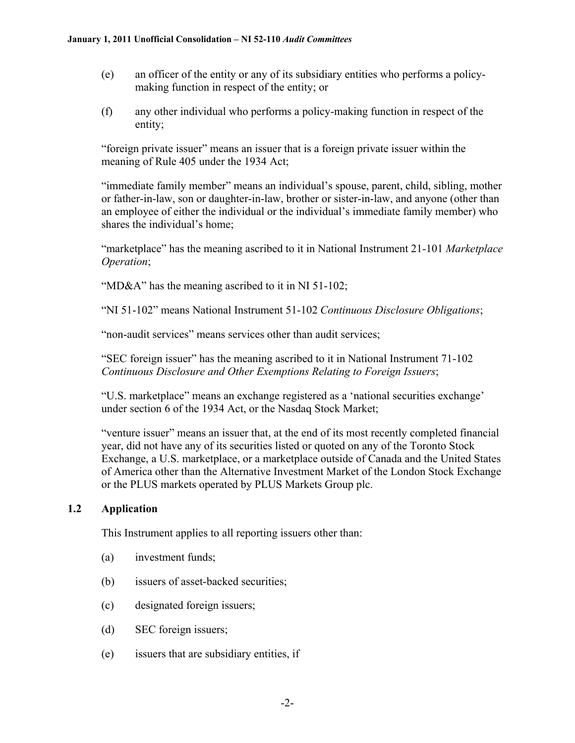- (e) an officer of the entity or any of its subsidiary entities who performs a policymaking function in respect of the entity; or
- (f) any other individual who performs a policy-making function in respect of the entity;

"foreign private issuer" means an issuer that is a foreign private issuer within the meaning of Rule 405 under the 1934 Act;

"immediate family member" means an individual's spouse, parent, child, sibling, mother or father-in-law, son or daughter-in-law, brother or sister-in-law, and anyone (other than an employee of either the individual or the individual's immediate family member) who shares the individual's home;

"marketplace" has the meaning ascribed to it in National Instrument 21-101 *Marketplace Operation*;

"MD&A" has the meaning ascribed to it in NI 51-102;

"NI 51-102" means National Instrument 51-102 *Continuous Disclosure Obligations*;

"non-audit services" means services other than audit services;

"SEC foreign issuer" has the meaning ascribed to it in National Instrument 71-102 *Continuous Disclosure and Other Exemptions Relating to Foreign Issuers*;

"U.S. marketplace" means an exchange registered as a 'national securities exchange' under section 6 of the 1934 Act, or the Nasdaq Stock Market;

"venture issuer" means an issuer that, at the end of its most recently completed financial year, did not have any of its securities listed or quoted on any of the Toronto Stock Exchange, a U.S. marketplace, or a marketplace outside of Canada and the United States of America other than the Alternative Investment Market of the London Stock Exchange or the PLUS markets operated by PLUS Markets Group plc.

# **1.2 Application**

This Instrument applies to all reporting issuers other than:

- (a) investment funds;
- (b) issuers of asset-backed securities;
- (c) designated foreign issuers;
- (d) SEC foreign issuers;
- (e) issuers that are subsidiary entities, if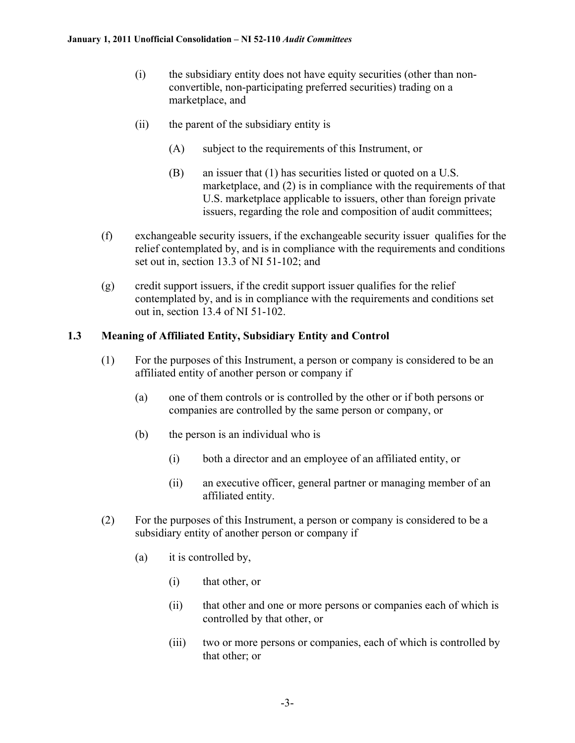- (i) the subsidiary entity does not have equity securities (other than nonconvertible, non-participating preferred securities) trading on a marketplace, and
- (ii) the parent of the subsidiary entity is
	- (A) subject to the requirements of this Instrument, or
	- (B) an issuer that (1) has securities listed or quoted on a U.S. marketplace, and (2) is in compliance with the requirements of that U.S. marketplace applicable to issuers, other than foreign private issuers, regarding the role and composition of audit committees;
- (f) exchangeable security issuers, if the exchangeable security issuer qualifies for the relief contemplated by, and is in compliance with the requirements and conditions set out in, section 13.3 of NI 51-102; and
- (g) credit support issuers, if the credit support issuer qualifies for the relief contemplated by, and is in compliance with the requirements and conditions set out in, section 13.4 of NI 51-102.

# **1.3 Meaning of Affiliated Entity, Subsidiary Entity and Control**

- (1) For the purposes of this Instrument, a person or company is considered to be an affiliated entity of another person or company if
	- (a) one of them controls or is controlled by the other or if both persons or companies are controlled by the same person or company, or
	- (b) the person is an individual who is
		- (i) both a director and an employee of an affiliated entity, or
		- (ii) an executive officer, general partner or managing member of an affiliated entity.
- (2) For the purposes of this Instrument, a person or company is considered to be a subsidiary entity of another person or company if
	- (a) it is controlled by,
		- (i) that other, or
		- (ii) that other and one or more persons or companies each of which is controlled by that other, or
		- (iii) two or more persons or companies, each of which is controlled by that other; or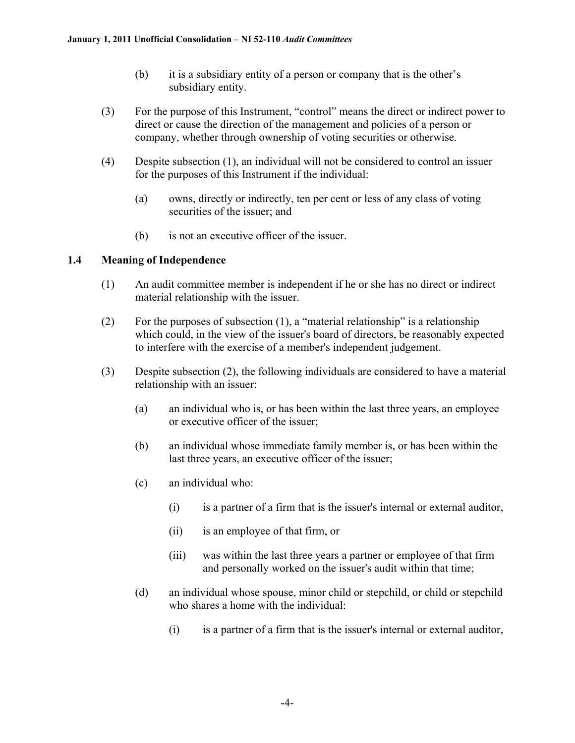- (b) it is a subsidiary entity of a person or company that is the other's subsidiary entity.
- (3) For the purpose of this Instrument, "control" means the direct or indirect power to direct or cause the direction of the management and policies of a person or company, whether through ownership of voting securities or otherwise.
- (4) Despite subsection (1), an individual will not be considered to control an issuer for the purposes of this Instrument if the individual:
	- (a) owns, directly or indirectly, ten per cent or less of any class of voting securities of the issuer; and
	- (b) is not an executive officer of the issuer.

# **1.4 Meaning of Independence**

- (1) An audit committee member is independent if he or she has no direct or indirect material relationship with the issuer.
- (2) For the purposes of subsection (1), a "material relationship" is a relationship which could, in the view of the issuer's board of directors, be reasonably expected to interfere with the exercise of a member's independent judgement.
- (3) Despite subsection (2), the following individuals are considered to have a material relationship with an issuer:
	- (a) an individual who is, or has been within the last three years, an employee or executive officer of the issuer;
	- (b) an individual whose immediate family member is, or has been within the last three years, an executive officer of the issuer;
	- (c) an individual who:
		- (i) is a partner of a firm that is the issuer's internal or external auditor,
		- (ii) is an employee of that firm, or
		- (iii) was within the last three years a partner or employee of that firm and personally worked on the issuer's audit within that time;
	- (d) an individual whose spouse, minor child or stepchild, or child or stepchild who shares a home with the individual:
		- (i) is a partner of a firm that is the issuer's internal or external auditor,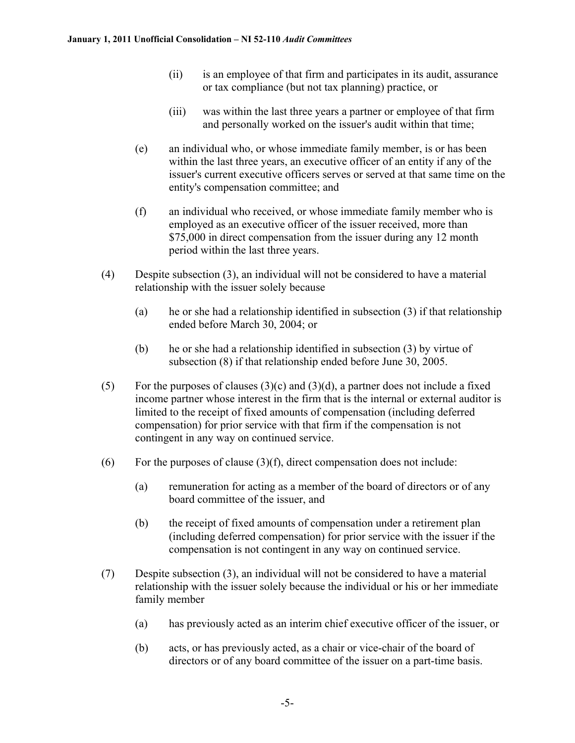- (ii) is an employee of that firm and participates in its audit, assurance or tax compliance (but not tax planning) practice, or
- (iii) was within the last three years a partner or employee of that firm and personally worked on the issuer's audit within that time;
- (e) an individual who, or whose immediate family member, is or has been within the last three years, an executive officer of an entity if any of the issuer's current executive officers serves or served at that same time on the entity's compensation committee; and
- (f) an individual who received, or whose immediate family member who is employed as an executive officer of the issuer received, more than \$75,000 in direct compensation from the issuer during any 12 month period within the last three years.
- (4) Despite subsection (3), an individual will not be considered to have a material relationship with the issuer solely because
	- (a) he or she had a relationship identified in subsection (3) if that relationship ended before March 30, 2004; or
	- (b) he or she had a relationship identified in subsection (3) by virtue of subsection (8) if that relationship ended before June 30, 2005.
- (5) For the purposes of clauses  $(3)(c)$  and  $(3)(d)$ , a partner does not include a fixed income partner whose interest in the firm that is the internal or external auditor is limited to the receipt of fixed amounts of compensation (including deferred compensation) for prior service with that firm if the compensation is not contingent in any way on continued service.
- (6) For the purposes of clause  $(3)(f)$ , direct compensation does not include:
	- (a) remuneration for acting as a member of the board of directors or of any board committee of the issuer, and
	- (b) the receipt of fixed amounts of compensation under a retirement plan (including deferred compensation) for prior service with the issuer if the compensation is not contingent in any way on continued service.
- (7) Despite subsection (3), an individual will not be considered to have a material relationship with the issuer solely because the individual or his or her immediate family member
	- (a) has previously acted as an interim chief executive officer of the issuer, or
	- (b) acts, or has previously acted, as a chair or vice-chair of the board of directors or of any board committee of the issuer on a part-time basis.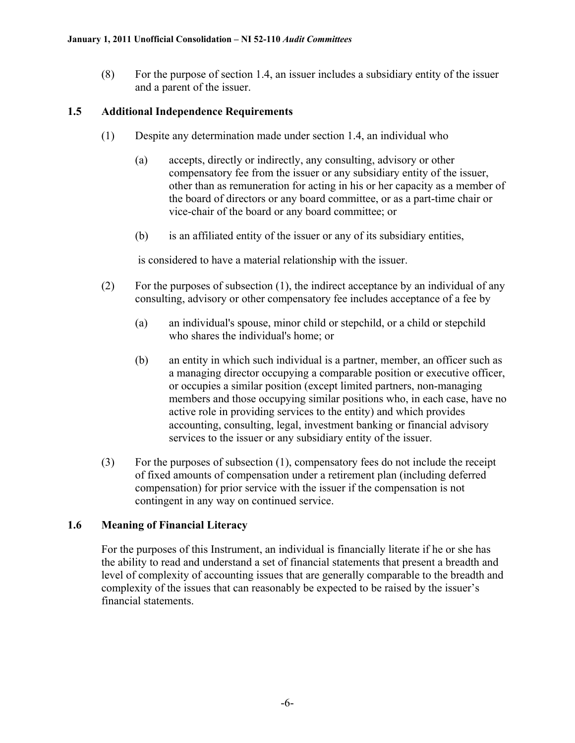(8) For the purpose of section 1.4, an issuer includes a subsidiary entity of the issuer and a parent of the issuer.

# **1.5 Additional Independence Requirements**

- (1) Despite any determination made under section 1.4, an individual who
	- (a) accepts, directly or indirectly, any consulting, advisory or other compensatory fee from the issuer or any subsidiary entity of the issuer, other than as remuneration for acting in his or her capacity as a member of the board of directors or any board committee, or as a part-time chair or vice-chair of the board or any board committee; or
	- (b) is an affiliated entity of the issuer or any of its subsidiary entities,

is considered to have a material relationship with the issuer.

- (2) For the purposes of subsection (1), the indirect acceptance by an individual of any consulting, advisory or other compensatory fee includes acceptance of a fee by
	- (a) an individual's spouse, minor child or stepchild, or a child or stepchild who shares the individual's home; or
	- (b) an entity in which such individual is a partner, member, an officer such as a managing director occupying a comparable position or executive officer, or occupies a similar position (except limited partners, non-managing members and those occupying similar positions who, in each case, have no active role in providing services to the entity) and which provides accounting, consulting, legal, investment banking or financial advisory services to the issuer or any subsidiary entity of the issuer.
- (3) For the purposes of subsection (1), compensatory fees do not include the receipt of fixed amounts of compensation under a retirement plan (including deferred compensation) for prior service with the issuer if the compensation is not contingent in any way on continued service.

# **1.6 Meaning of Financial Literacy**

For the purposes of this Instrument, an individual is financially literate if he or she has the ability to read and understand a set of financial statements that present a breadth and level of complexity of accounting issues that are generally comparable to the breadth and complexity of the issues that can reasonably be expected to be raised by the issuer's financial statements.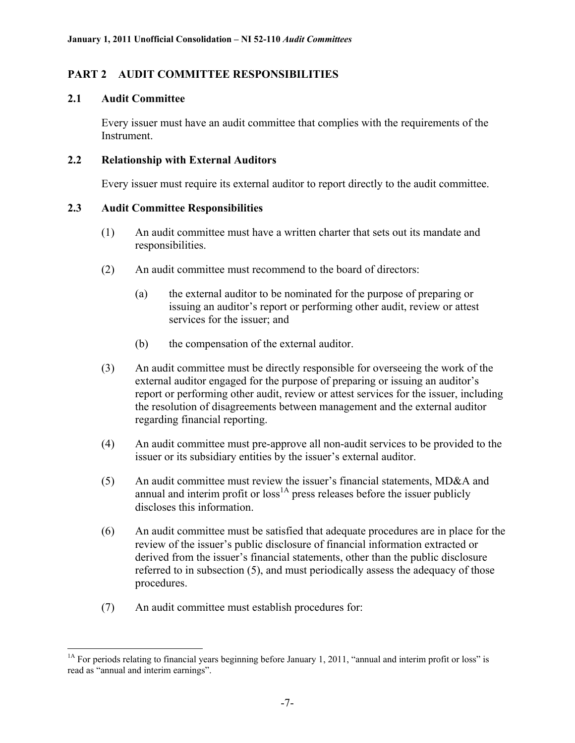# **PART 2 AUDIT COMMITTEE RESPONSIBILITIES**

### **2.1 Audit Committee**

 $\overline{a}$ 

Every issuer must have an audit committee that complies with the requirements of the Instrument.

#### **2.2 Relationship with External Auditors**

Every issuer must require its external auditor to report directly to the audit committee.

# **2.3 Audit Committee Responsibilities**

- (1) An audit committee must have a written charter that sets out its mandate and responsibilities.
- (2) An audit committee must recommend to the board of directors:
	- (a) the external auditor to be nominated for the purpose of preparing or issuing an auditor's report or performing other audit, review or attest services for the issuer; and
	- (b) the compensation of the external auditor.
- (3) An audit committee must be directly responsible for overseeing the work of the external auditor engaged for the purpose of preparing or issuing an auditor's report or performing other audit, review or attest services for the issuer, including the resolution of disagreements between management and the external auditor regarding financial reporting.
- (4) An audit committee must pre-approve all non-audit services to be provided to the issuer or its subsidiary entities by the issuer's external auditor.
- (5) An audit committee must review the issuer's financial statements, MD&A and annual and interim profit or  $\cos^{1A}$  press releases before the issuer publicly discloses this information.
- (6) An audit committee must be satisfied that adequate procedures are in place for the review of the issuer's public disclosure of financial information extracted or derived from the issuer's financial statements, other than the public disclosure referred to in subsection (5), and must periodically assess the adequacy of those procedures.
- (7) An audit committee must establish procedures for:

 $1A$  For periods relating to financial years beginning before January 1, 2011, "annual and interim profit or loss" is read as "annual and interim earnings".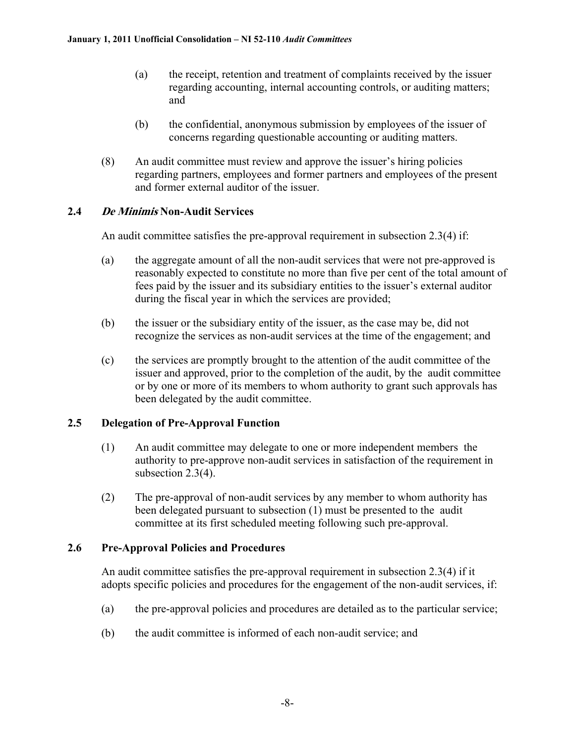- (a) the receipt, retention and treatment of complaints received by the issuer regarding accounting, internal accounting controls, or auditing matters; and
- (b) the confidential, anonymous submission by employees of the issuer of concerns regarding questionable accounting or auditing matters.
- (8) An audit committee must review and approve the issuer's hiring policies regarding partners, employees and former partners and employees of the present and former external auditor of the issuer.

# **2.4 De Minimis Non-Audit Services**

An audit committee satisfies the pre-approval requirement in subsection 2.3(4) if:

- (a) the aggregate amount of all the non-audit services that were not pre-approved is reasonably expected to constitute no more than five per cent of the total amount of fees paid by the issuer and its subsidiary entities to the issuer's external auditor during the fiscal year in which the services are provided;
- (b) the issuer or the subsidiary entity of the issuer, as the case may be, did not recognize the services as non-audit services at the time of the engagement; and
- (c) the services are promptly brought to the attention of the audit committee of the issuer and approved, prior to the completion of the audit, by the audit committee or by one or more of its members to whom authority to grant such approvals has been delegated by the audit committee.

# **2.5 Delegation of Pre-Approval Function**

- (1) An audit committee may delegate to one or more independent members the authority to pre-approve non-audit services in satisfaction of the requirement in subsection 2.3(4).
- (2) The pre-approval of non-audit services by any member to whom authority has been delegated pursuant to subsection (1) must be presented to the audit committee at its first scheduled meeting following such pre-approval.

# **2.6 Pre-Approval Policies and Procedures**

An audit committee satisfies the pre-approval requirement in subsection 2.3(4) if it adopts specific policies and procedures for the engagement of the non-audit services, if:

- (a) the pre-approval policies and procedures are detailed as to the particular service;
- (b) the audit committee is informed of each non-audit service; and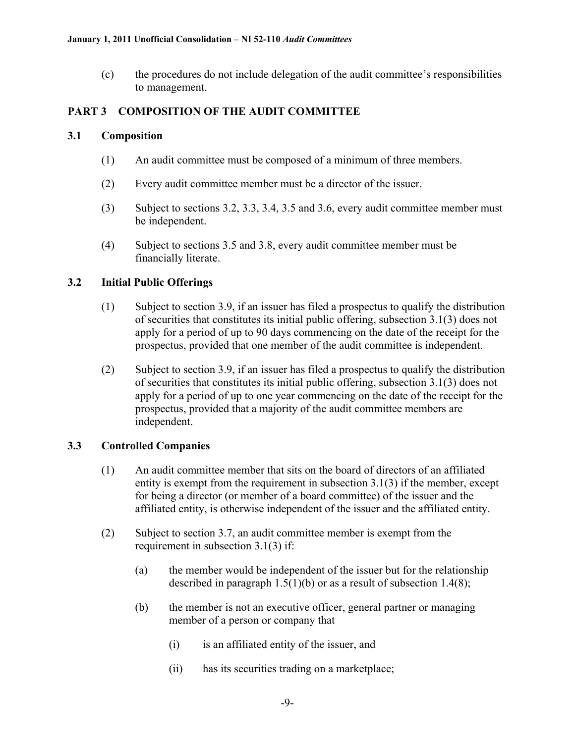(c) the procedures do not include delegation of the audit committee's responsibilities to management.

# **PART 3 COMPOSITION OF THE AUDIT COMMITTEE**

#### **3.1 Composition**

- (1) An audit committee must be composed of a minimum of three members.
- (2) Every audit committee member must be a director of the issuer.
- (3) Subject to sections 3.2, 3.3, 3.4, 3.5 and 3.6, every audit committee member must be independent.
- (4) Subject to sections 3.5 and 3.8, every audit committee member must be financially literate.

# **3.2 Initial Public Offerings**

- (1) Subject to section 3.9, if an issuer has filed a prospectus to qualify the distribution of securities that constitutes its initial public offering, subsection 3.1(3) does not apply for a period of up to 90 days commencing on the date of the receipt for the prospectus, provided that one member of the audit committee is independent.
- (2) Subject to section 3.9, if an issuer has filed a prospectus to qualify the distribution of securities that constitutes its initial public offering, subsection 3.1(3) does not apply for a period of up to one year commencing on the date of the receipt for the prospectus, provided that a majority of the audit committee members are independent.

# **3.3 Controlled Companies**

- (1) An audit committee member that sits on the board of directors of an affiliated entity is exempt from the requirement in subsection 3.1(3) if the member, except for being a director (or member of a board committee) of the issuer and the affiliated entity, is otherwise independent of the issuer and the affiliated entity.
- (2) Subject to section 3.7, an audit committee member is exempt from the requirement in subsection 3.1(3) if:
	- (a) the member would be independent of the issuer but for the relationship described in paragraph  $1.5(1)(b)$  or as a result of subsection  $1.4(8)$ ;
	- (b) the member is not an executive officer, general partner or managing member of a person or company that
		- (i) is an affiliated entity of the issuer, and
		- (ii) has its securities trading on a marketplace;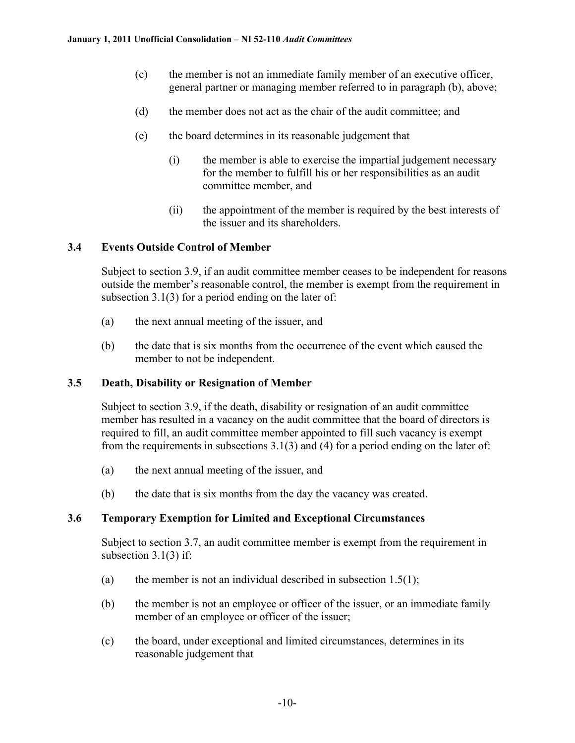- (c) the member is not an immediate family member of an executive officer, general partner or managing member referred to in paragraph (b), above;
- (d) the member does not act as the chair of the audit committee; and
- (e) the board determines in its reasonable judgement that
	- (i) the member is able to exercise the impartial judgement necessary for the member to fulfill his or her responsibilities as an audit committee member, and
	- (ii) the appointment of the member is required by the best interests of the issuer and its shareholders.

# **3.4 Events Outside Control of Member**

Subject to section 3.9, if an audit committee member ceases to be independent for reasons outside the member's reasonable control, the member is exempt from the requirement in subsection 3.1(3) for a period ending on the later of:

- (a) the next annual meeting of the issuer, and
- (b) the date that is six months from the occurrence of the event which caused the member to not be independent.

# **3.5 Death, Disability or Resignation of Member**

Subject to section 3.9, if the death, disability or resignation of an audit committee member has resulted in a vacancy on the audit committee that the board of directors is required to fill, an audit committee member appointed to fill such vacancy is exempt from the requirements in subsections 3.1(3) and (4) for a period ending on the later of:

- (a) the next annual meeting of the issuer, and
- (b) the date that is six months from the day the vacancy was created.

# **3.6 Temporary Exemption for Limited and Exceptional Circumstances**

Subject to section 3.7, an audit committee member is exempt from the requirement in subsection  $3.1(3)$  if:

- (a) the member is not an individual described in subsection  $1.5(1)$ ;
- (b) the member is not an employee or officer of the issuer, or an immediate family member of an employee or officer of the issuer;
- (c) the board, under exceptional and limited circumstances, determines in its reasonable judgement that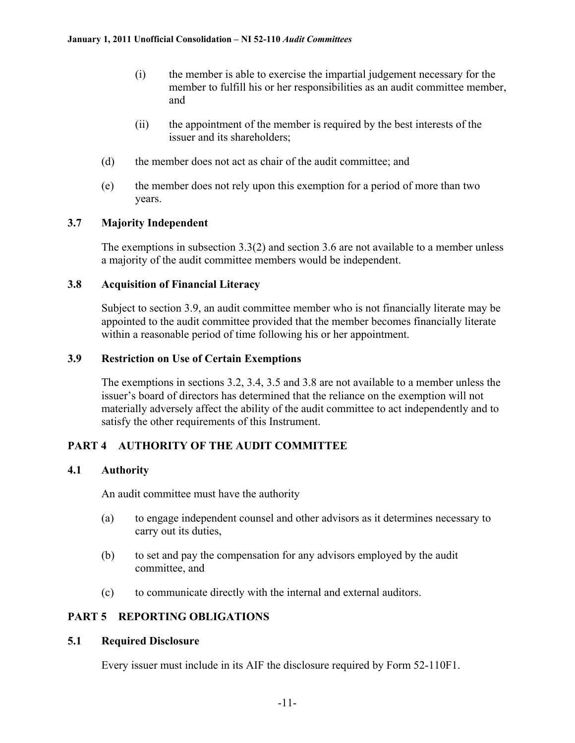- (i) the member is able to exercise the impartial judgement necessary for the member to fulfill his or her responsibilities as an audit committee member, and
- (ii) the appointment of the member is required by the best interests of the issuer and its shareholders;
- (d) the member does not act as chair of the audit committee; and
- (e) the member does not rely upon this exemption for a period of more than two years.

# **3.7 Majority Independent**

The exemptions in subsection 3.3(2) and section 3.6 are not available to a member unless a majority of the audit committee members would be independent.

# **3.8 Acquisition of Financial Literacy**

Subject to section 3.9, an audit committee member who is not financially literate may be appointed to the audit committee provided that the member becomes financially literate within a reasonable period of time following his or her appointment.

# **3.9 Restriction on Use of Certain Exemptions**

The exemptions in sections 3.2, 3.4, 3.5 and 3.8 are not available to a member unless the issuer's board of directors has determined that the reliance on the exemption will not materially adversely affect the ability of the audit committee to act independently and to satisfy the other requirements of this Instrument.

# **PART 4 AUTHORITY OF THE AUDIT COMMITTEE**

# **4.1 Authority**

An audit committee must have the authority

- (a) to engage independent counsel and other advisors as it determines necessary to carry out its duties,
- (b) to set and pay the compensation for any advisors employed by the audit committee, and
- (c) to communicate directly with the internal and external auditors.

# **PART 5 REPORTING OBLIGATIONS**

# **5.1 Required Disclosure**

Every issuer must include in its AIF the disclosure required by Form 52-110F1.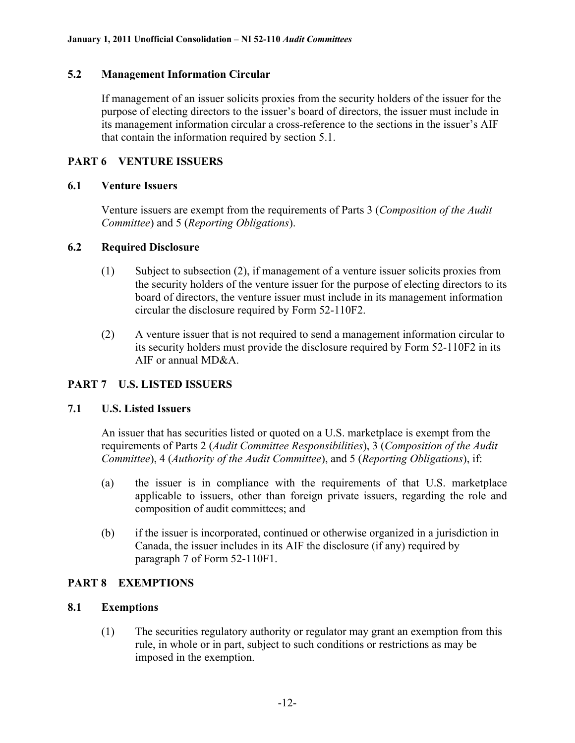# **5.2 Management Information Circular**

If management of an issuer solicits proxies from the security holders of the issuer for the purpose of electing directors to the issuer's board of directors, the issuer must include in its management information circular a cross-reference to the sections in the issuer's AIF that contain the information required by section 5.1.

# **PART 6 VENTURE ISSUERS**

### **6.1 Venture Issuers**

Venture issuers are exempt from the requirements of Parts 3 (*Composition of the Audit Committee*) and 5 (*Reporting Obligations*).

#### **6.2 Required Disclosure**

- (1) Subject to subsection (2), if management of a venture issuer solicits proxies from the security holders of the venture issuer for the purpose of electing directors to its board of directors, the venture issuer must include in its management information circular the disclosure required by Form 52-110F2.
- (2) A venture issuer that is not required to send a management information circular to its security holders must provide the disclosure required by Form 52-110F2 in its AIF or annual MD&A.

# **PART 7 U.S. LISTED ISSUERS**

# **7.1 U.S. Listed Issuers**

An issuer that has securities listed or quoted on a U.S. marketplace is exempt from the requirements of Parts 2 (*Audit Committee Responsibilities*), 3 (*Composition of the Audit Committee*), 4 (*Authority of the Audit Committee*), and 5 (*Reporting Obligations*), if:

- (a) the issuer is in compliance with the requirements of that U.S. marketplace applicable to issuers, other than foreign private issuers, regarding the role and composition of audit committees; and
- (b) if the issuer is incorporated, continued or otherwise organized in a jurisdiction in Canada, the issuer includes in its AIF the disclosure (if any) required by paragraph 7 of Form 52-110F1.

# **PART 8 EXEMPTIONS**

# **8.1 Exemptions**

(1) The securities regulatory authority or regulator may grant an exemption from this rule, in whole or in part, subject to such conditions or restrictions as may be imposed in the exemption.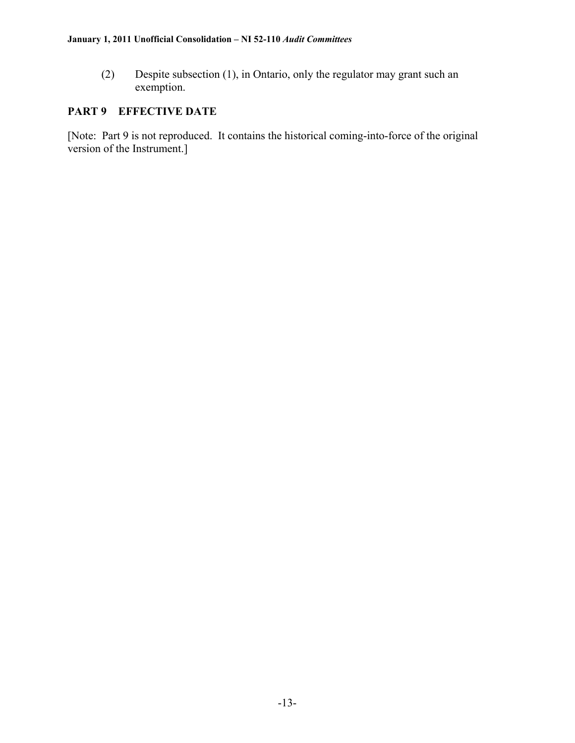(2) Despite subsection (1), in Ontario, only the regulator may grant such an exemption.

# **PART 9 EFFECTIVE DATE**

[Note: Part 9 is not reproduced. It contains the historical coming-into-force of the original version of the Instrument.]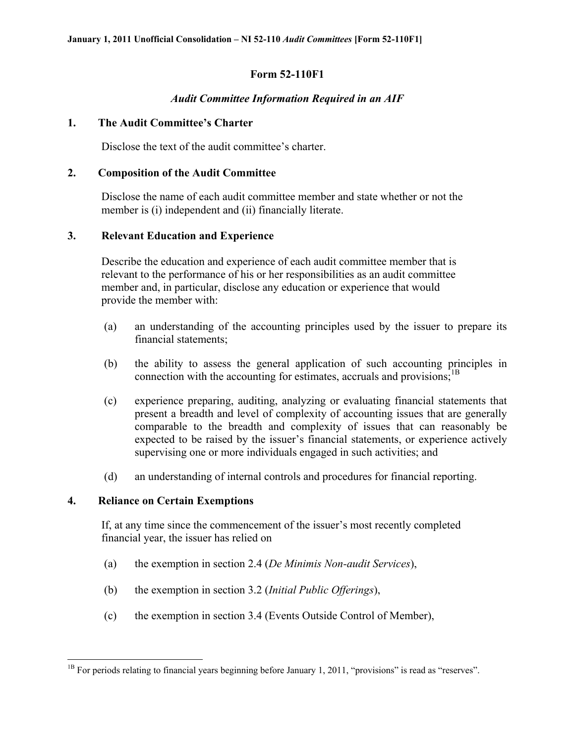# **Form 52-110F1**

# *Audit Committee Information Required in an AIF*

#### **1. The Audit Committee's Charter**

Disclose the text of the audit committee's charter.

#### **2. Composition of the Audit Committee**

Disclose the name of each audit committee member and state whether or not the member is (i) independent and (ii) financially literate.

# **3. Relevant Education and Experience**

Describe the education and experience of each audit committee member that is relevant to the performance of his or her responsibilities as an audit committee member and, in particular, disclose any education or experience that would provide the member with:

- (a) an understanding of the accounting principles used by the issuer to prepare its financial statements;
- (b) the ability to assess the general application of such accounting principles in connection with the accounting for estimates, accruals and provisions;<sup>1B</sup>
- (c) experience preparing, auditing, analyzing or evaluating financial statements that present a breadth and level of complexity of accounting issues that are generally comparable to the breadth and complexity of issues that can reasonably be expected to be raised by the issuer's financial statements, or experience actively supervising one or more individuals engaged in such activities; and
- (d) an understanding of internal controls and procedures for financial reporting.

# **4. Reliance on Certain Exemptions**

 $\overline{a}$ 

If, at any time since the commencement of the issuer's most recently completed financial year, the issuer has relied on

- (a) the exemption in section 2.4 (*De Minimis Non-audit Services*),
- (b) the exemption in section 3.2 (*Initial Public Offerings*),
- (c) the exemption in section 3.4 (Events Outside Control of Member),

 $1B$  For periods relating to financial years beginning before January 1, 2011, "provisions" is read as "reserves".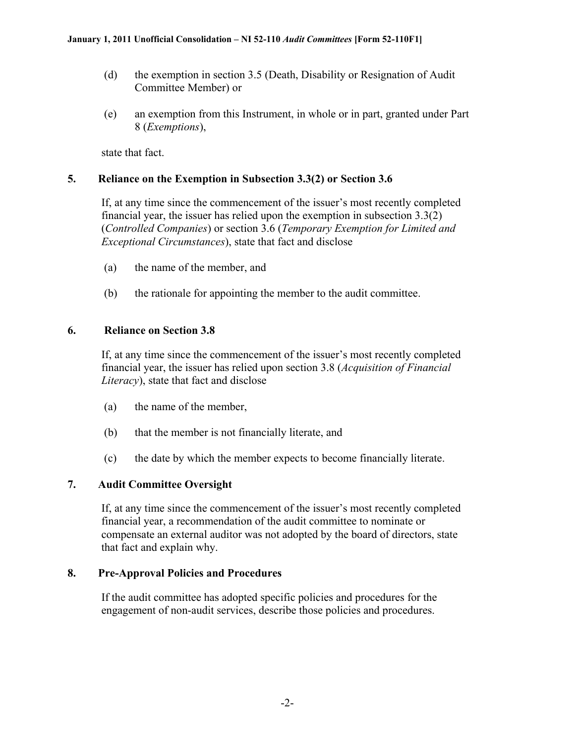- (d) the exemption in section 3.5 (Death, Disability or Resignation of Audit Committee Member) or
- (e) an exemption from this Instrument, in whole or in part, granted under Part 8 (*Exemptions*),

state that fact.

### **5. Reliance on the Exemption in Subsection 3.3(2) or Section 3.6**

If, at any time since the commencement of the issuer's most recently completed financial year, the issuer has relied upon the exemption in subsection 3.3(2) (*Controlled Companies*) or section 3.6 (*Temporary Exemption for Limited and Exceptional Circumstances*), state that fact and disclose

- (a) the name of the member, and
- (b) the rationale for appointing the member to the audit committee.

#### **6. Reliance on Section 3.8**

If, at any time since the commencement of the issuer's most recently completed financial year, the issuer has relied upon section 3.8 (*Acquisition of Financial Literacy*), state that fact and disclose

- (a) the name of the member,
- (b) that the member is not financially literate, and
- (c) the date by which the member expects to become financially literate.

# **7. Audit Committee Oversight**

If, at any time since the commencement of the issuer's most recently completed financial year, a recommendation of the audit committee to nominate or compensate an external auditor was not adopted by the board of directors, state that fact and explain why.

#### **8. Pre-Approval Policies and Procedures**

If the audit committee has adopted specific policies and procedures for the engagement of non-audit services, describe those policies and procedures.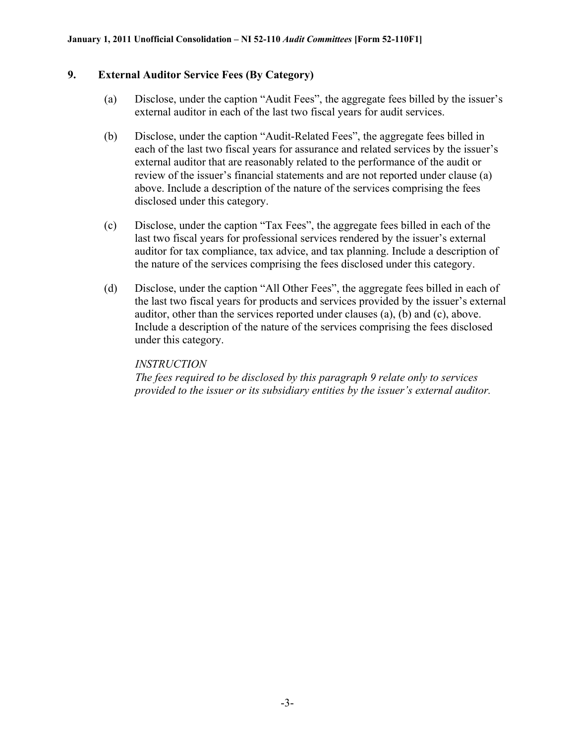# **9. External Auditor Service Fees (By Category)**

- (a) Disclose, under the caption "Audit Fees", the aggregate fees billed by the issuer's external auditor in each of the last two fiscal years for audit services.
- (b) Disclose, under the caption "Audit-Related Fees", the aggregate fees billed in each of the last two fiscal years for assurance and related services by the issuer's external auditor that are reasonably related to the performance of the audit or review of the issuer's financial statements and are not reported under clause (a) above. Include a description of the nature of the services comprising the fees disclosed under this category.
- (c) Disclose, under the caption "Tax Fees", the aggregate fees billed in each of the last two fiscal years for professional services rendered by the issuer's external auditor for tax compliance, tax advice, and tax planning. Include a description of the nature of the services comprising the fees disclosed under this category.
- (d) Disclose, under the caption "All Other Fees", the aggregate fees billed in each of the last two fiscal years for products and services provided by the issuer's external auditor, other than the services reported under clauses (a), (b) and (c), above. Include a description of the nature of the services comprising the fees disclosed under this category.

#### *INSTRUCTION*

*The fees required to be disclosed by this paragraph 9 relate only to services provided to the issuer or its subsidiary entities by the issuer's external auditor.*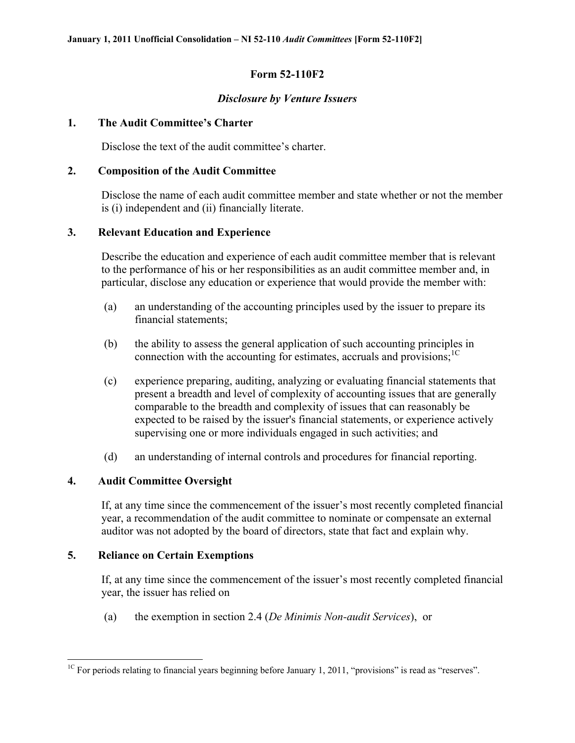# **Form 52-110F2**

#### *Disclosure by Venture Issuers*

#### **1. The Audit Committee's Charter**

Disclose the text of the audit committee's charter.

#### **2. Composition of the Audit Committee**

Disclose the name of each audit committee member and state whether or not the member is (i) independent and (ii) financially literate.

#### **3. Relevant Education and Experience**

Describe the education and experience of each audit committee member that is relevant to the performance of his or her responsibilities as an audit committee member and, in particular, disclose any education or experience that would provide the member with:

- (a) an understanding of the accounting principles used by the issuer to prepare its financial statements;
- (b) the ability to assess the general application of such accounting principles in connection with the accounting for estimates, accruals and provisions;<sup>1C</sup>
- (c) experience preparing, auditing, analyzing or evaluating financial statements that present a breadth and level of complexity of accounting issues that are generally comparable to the breadth and complexity of issues that can reasonably be expected to be raised by the issuer's financial statements, or experience actively supervising one or more individuals engaged in such activities; and
- (d) an understanding of internal controls and procedures for financial reporting.

# **4. Audit Committee Oversight**

If, at any time since the commencement of the issuer's most recently completed financial year, a recommendation of the audit committee to nominate or compensate an external auditor was not adopted by the board of directors, state that fact and explain why.

# **5. Reliance on Certain Exemptions**

 $\overline{a}$ 

If, at any time since the commencement of the issuer's most recently completed financial year, the issuer has relied on

(a) the exemption in section 2.4 (*De Minimis Non-audit Services*), or

<sup>&</sup>lt;sup>1C</sup> For periods relating to financial years beginning before January 1, 2011, "provisions" is read as "reserves".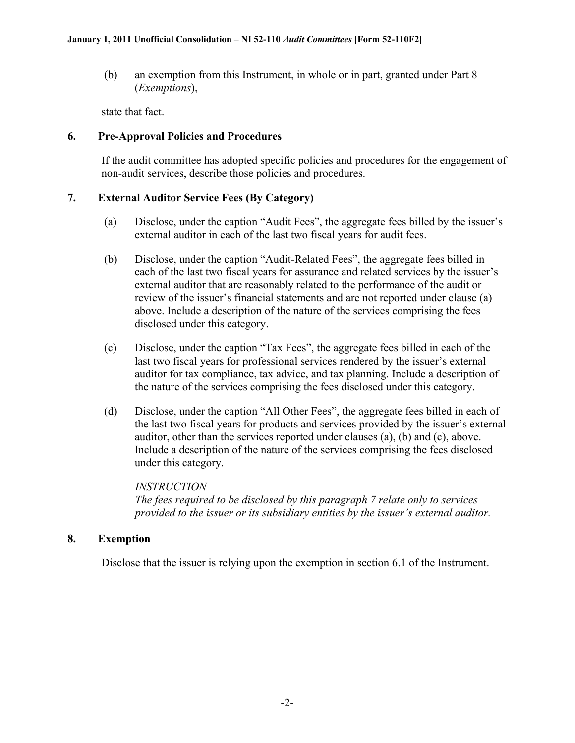(b) an exemption from this Instrument, in whole or in part, granted under Part 8 (*Exemptions*),

state that fact.

### **6. Pre-Approval Policies and Procedures**

If the audit committee has adopted specific policies and procedures for the engagement of non-audit services, describe those policies and procedures.

# **7. External Auditor Service Fees (By Category)**

- (a) Disclose, under the caption "Audit Fees", the aggregate fees billed by the issuer's external auditor in each of the last two fiscal years for audit fees.
- (b) Disclose, under the caption "Audit-Related Fees", the aggregate fees billed in each of the last two fiscal years for assurance and related services by the issuer's external auditor that are reasonably related to the performance of the audit or review of the issuer's financial statements and are not reported under clause (a) above. Include a description of the nature of the services comprising the fees disclosed under this category.
- (c) Disclose, under the caption "Tax Fees", the aggregate fees billed in each of the last two fiscal years for professional services rendered by the issuer's external auditor for tax compliance, tax advice, and tax planning. Include a description of the nature of the services comprising the fees disclosed under this category.
- (d) Disclose, under the caption "All Other Fees", the aggregate fees billed in each of the last two fiscal years for products and services provided by the issuer's external auditor, other than the services reported under clauses (a), (b) and (c), above. Include a description of the nature of the services comprising the fees disclosed under this category.

*INSTRUCTION The fees required to be disclosed by this paragraph 7 relate only to services provided to the issuer or its subsidiary entities by the issuer's external auditor.* 

#### **8. Exemption**

Disclose that the issuer is relying upon the exemption in section 6.1 of the Instrument.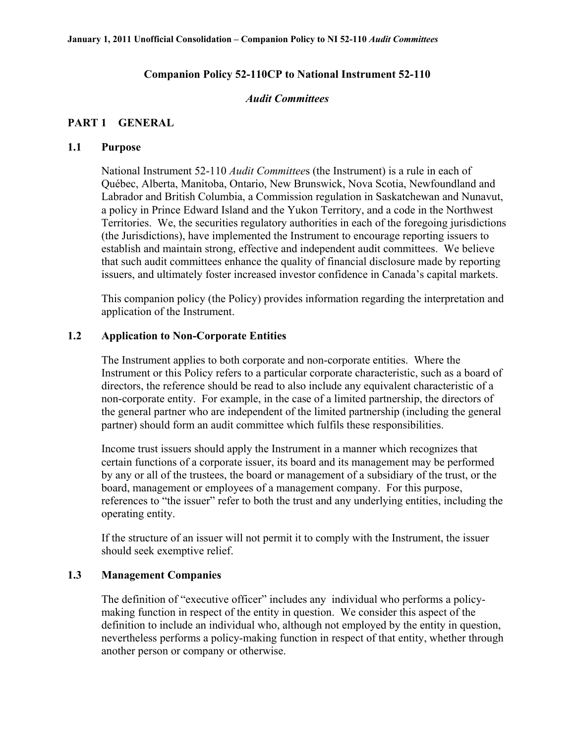#### **Companion Policy 52-110CP to National Instrument 52-110**

#### *Audit Committees*

#### **PART 1 GENERAL**

#### **1.1 Purpose**

National Instrument 52-110 *Audit Committee*s (the Instrument) is a rule in each of Québec, Alberta, Manitoba, Ontario, New Brunswick, Nova Scotia, Newfoundland and Labrador and British Columbia, a Commission regulation in Saskatchewan and Nunavut, a policy in Prince Edward Island and the Yukon Territory, and a code in the Northwest Territories. We, the securities regulatory authorities in each of the foregoing jurisdictions (the Jurisdictions), have implemented the Instrument to encourage reporting issuers to establish and maintain strong, effective and independent audit committees. We believe that such audit committees enhance the quality of financial disclosure made by reporting issuers, and ultimately foster increased investor confidence in Canada's capital markets.

This companion policy (the Policy) provides information regarding the interpretation and application of the Instrument.

#### **1.2 Application to Non-Corporate Entities**

The Instrument applies to both corporate and non-corporate entities. Where the Instrument or this Policy refers to a particular corporate characteristic, such as a board of directors, the reference should be read to also include any equivalent characteristic of a non-corporate entity. For example, in the case of a limited partnership, the directors of the general partner who are independent of the limited partnership (including the general partner) should form an audit committee which fulfils these responsibilities.

Income trust issuers should apply the Instrument in a manner which recognizes that certain functions of a corporate issuer, its board and its management may be performed by any or all of the trustees, the board or management of a subsidiary of the trust, or the board, management or employees of a management company. For this purpose, references to "the issuer" refer to both the trust and any underlying entities, including the operating entity.

If the structure of an issuer will not permit it to comply with the Instrument, the issuer should seek exemptive relief.

#### **1.3 Management Companies**

The definition of "executive officer" includes any individual who performs a policymaking function in respect of the entity in question. We consider this aspect of the definition to include an individual who, although not employed by the entity in question, nevertheless performs a policy-making function in respect of that entity, whether through another person or company or otherwise.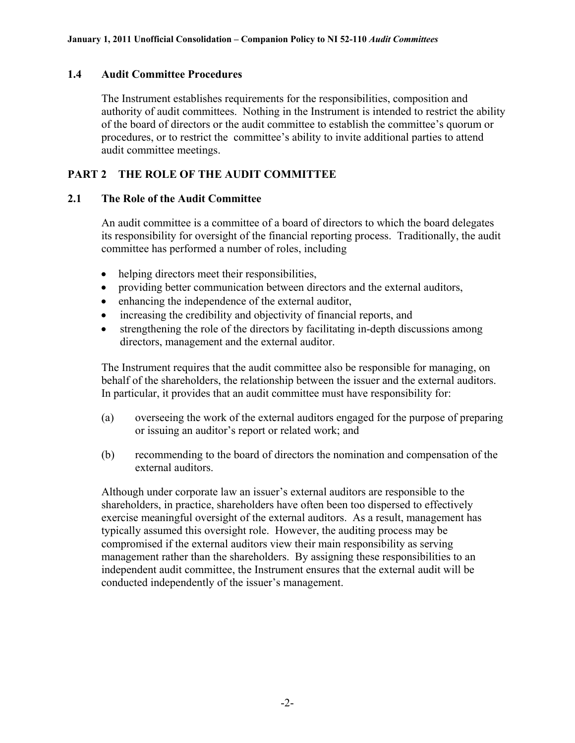#### **1.4 Audit Committee Procedures**

The Instrument establishes requirements for the responsibilities, composition and authority of audit committees. Nothing in the Instrument is intended to restrict the ability of the board of directors or the audit committee to establish the committee's quorum or procedures, or to restrict the committee's ability to invite additional parties to attend audit committee meetings.

# **PART 2 THE ROLE OF THE AUDIT COMMITTEE**

#### **2.1 The Role of the Audit Committee**

An audit committee is a committee of a board of directors to which the board delegates its responsibility for oversight of the financial reporting process. Traditionally, the audit committee has performed a number of roles, including

- helping directors meet their responsibilities,
- providing better communication between directors and the external auditors,
- enhancing the independence of the external auditor,
- increasing the credibility and objectivity of financial reports, and
- strengthening the role of the directors by facilitating in-depth discussions among directors, management and the external auditor.

The Instrument requires that the audit committee also be responsible for managing, on behalf of the shareholders, the relationship between the issuer and the external auditors. In particular, it provides that an audit committee must have responsibility for:

- (a) overseeing the work of the external auditors engaged for the purpose of preparing or issuing an auditor's report or related work; and
- (b) recommending to the board of directors the nomination and compensation of the external auditors.

Although under corporate law an issuer's external auditors are responsible to the shareholders, in practice, shareholders have often been too dispersed to effectively exercise meaningful oversight of the external auditors. As a result, management has typically assumed this oversight role. However, the auditing process may be compromised if the external auditors view their main responsibility as serving management rather than the shareholders. By assigning these responsibilities to an independent audit committee, the Instrument ensures that the external audit will be conducted independently of the issuer's management.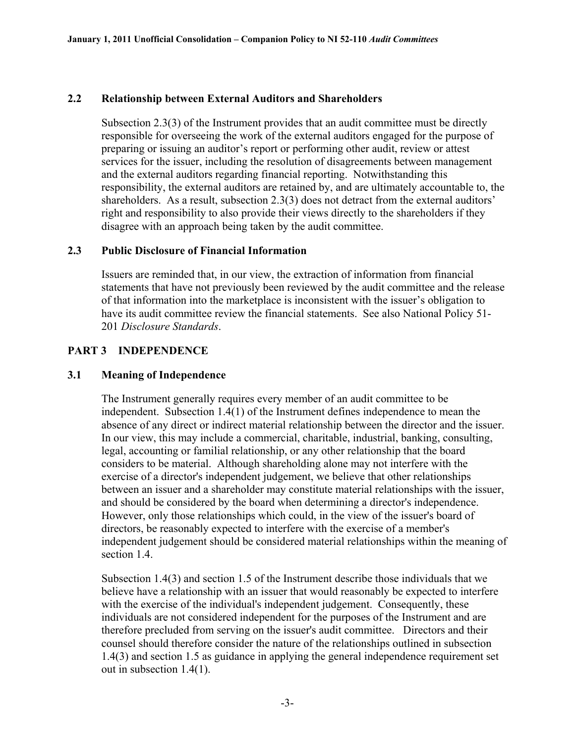#### **2.2 Relationship between External Auditors and Shareholders**

Subsection 2.3(3) of the Instrument provides that an audit committee must be directly responsible for overseeing the work of the external auditors engaged for the purpose of preparing or issuing an auditor's report or performing other audit, review or attest services for the issuer, including the resolution of disagreements between management and the external auditors regarding financial reporting. Notwithstanding this responsibility, the external auditors are retained by, and are ultimately accountable to, the shareholders. As a result, subsection 2.3(3) does not detract from the external auditors' right and responsibility to also provide their views directly to the shareholders if they disagree with an approach being taken by the audit committee.

#### **2.3 Public Disclosure of Financial Information**

Issuers are reminded that, in our view, the extraction of information from financial statements that have not previously been reviewed by the audit committee and the release of that information into the marketplace is inconsistent with the issuer's obligation to have its audit committee review the financial statements. See also National Policy 51- 201 *Disclosure Standards*.

# **PART 3 INDEPENDENCE**

### **3.1 Meaning of Independence**

The Instrument generally requires every member of an audit committee to be independent. Subsection 1.4(1) of the Instrument defines independence to mean the absence of any direct or indirect material relationship between the director and the issuer. In our view, this may include a commercial, charitable, industrial, banking, consulting, legal, accounting or familial relationship, or any other relationship that the board considers to be material. Although shareholding alone may not interfere with the exercise of a director's independent judgement, we believe that other relationships between an issuer and a shareholder may constitute material relationships with the issuer, and should be considered by the board when determining a director's independence. However, only those relationships which could, in the view of the issuer's board of directors, be reasonably expected to interfere with the exercise of a member's independent judgement should be considered material relationships within the meaning of section 1.4.

Subsection 1.4(3) and section 1.5 of the Instrument describe those individuals that we believe have a relationship with an issuer that would reasonably be expected to interfere with the exercise of the individual's independent judgement. Consequently, these individuals are not considered independent for the purposes of the Instrument and are therefore precluded from serving on the issuer's audit committee. Directors and their counsel should therefore consider the nature of the relationships outlined in subsection 1.4(3) and section 1.5 as guidance in applying the general independence requirement set out in subsection 1.4(1).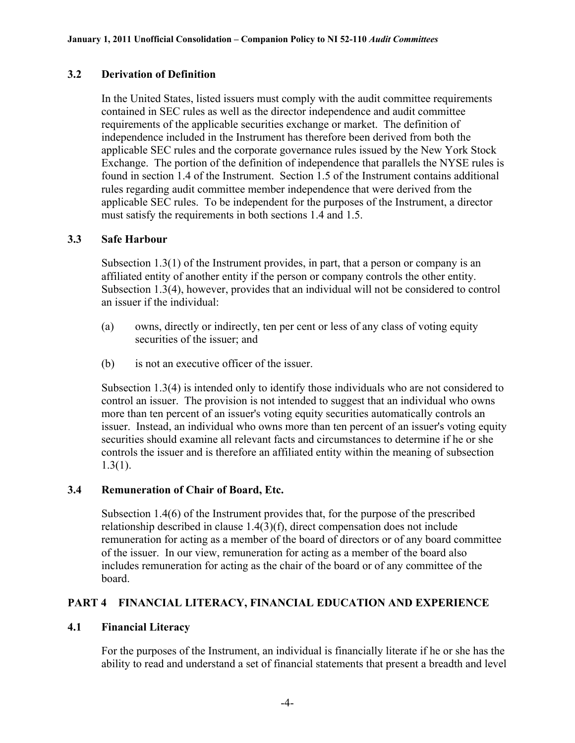# **3.2 Derivation of Definition**

In the United States, listed issuers must comply with the audit committee requirements contained in SEC rules as well as the director independence and audit committee requirements of the applicable securities exchange or market. The definition of independence included in the Instrument has therefore been derived from both the applicable SEC rules and the corporate governance rules issued by the New York Stock Exchange. The portion of the definition of independence that parallels the NYSE rules is found in section 1.4 of the Instrument. Section 1.5 of the Instrument contains additional rules regarding audit committee member independence that were derived from the applicable SEC rules. To be independent for the purposes of the Instrument, a director must satisfy the requirements in both sections 1.4 and 1.5.

#### **3.3 Safe Harbour**

Subsection 1.3(1) of the Instrument provides, in part, that a person or company is an affiliated entity of another entity if the person or company controls the other entity. Subsection 1.3(4), however, provides that an individual will not be considered to control an issuer if the individual:

- (a) owns, directly or indirectly, ten per cent or less of any class of voting equity securities of the issuer; and
- (b) is not an executive officer of the issuer.

Subsection 1.3(4) is intended only to identify those individuals who are not considered to control an issuer. The provision is not intended to suggest that an individual who owns more than ten percent of an issuer's voting equity securities automatically controls an issuer. Instead, an individual who owns more than ten percent of an issuer's voting equity securities should examine all relevant facts and circumstances to determine if he or she controls the issuer and is therefore an affiliated entity within the meaning of subsection 1.3(1).

#### **3.4 Remuneration of Chair of Board, Etc.**

Subsection 1.4(6) of the Instrument provides that, for the purpose of the prescribed relationship described in clause 1.4(3)(f), direct compensation does not include remuneration for acting as a member of the board of directors or of any board committee of the issuer. In our view, remuneration for acting as a member of the board also includes remuneration for acting as the chair of the board or of any committee of the board.

# **PART 4 FINANCIAL LITERACY, FINANCIAL EDUCATION AND EXPERIENCE**

#### **4.1 Financial Literacy**

For the purposes of the Instrument, an individual is financially literate if he or she has the ability to read and understand a set of financial statements that present a breadth and level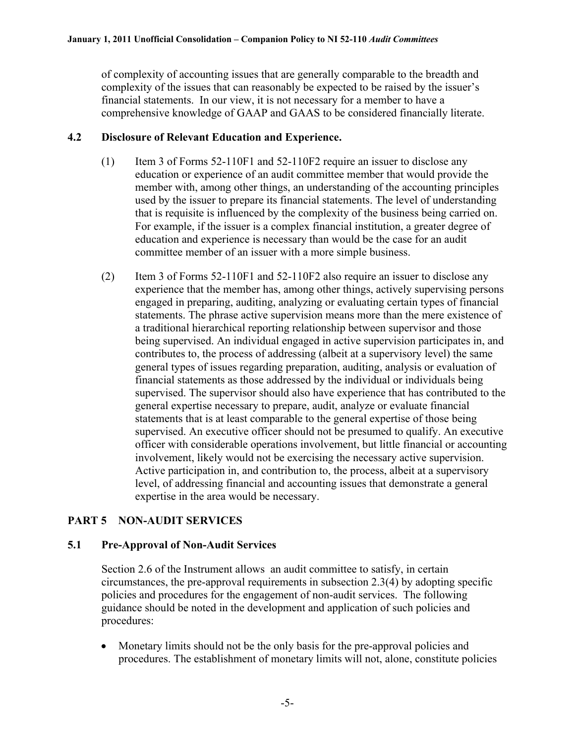of complexity of accounting issues that are generally comparable to the breadth and complexity of the issues that can reasonably be expected to be raised by the issuer's financial statements. In our view, it is not necessary for a member to have a comprehensive knowledge of GAAP and GAAS to be considered financially literate.

#### **4.2 Disclosure of Relevant Education and Experience.**

- (1) Item 3 of Forms 52-110F1 and 52-110F2 require an issuer to disclose any education or experience of an audit committee member that would provide the member with, among other things, an understanding of the accounting principles used by the issuer to prepare its financial statements. The level of understanding that is requisite is influenced by the complexity of the business being carried on. For example, if the issuer is a complex financial institution, a greater degree of education and experience is necessary than would be the case for an audit committee member of an issuer with a more simple business.
- (2) Item 3 of Forms 52-110F1 and 52-110F2 also require an issuer to disclose any experience that the member has, among other things, actively supervising persons engaged in preparing, auditing, analyzing or evaluating certain types of financial statements. The phrase active supervision means more than the mere existence of a traditional hierarchical reporting relationship between supervisor and those being supervised. An individual engaged in active supervision participates in, and contributes to, the process of addressing (albeit at a supervisory level) the same general types of issues regarding preparation, auditing, analysis or evaluation of financial statements as those addressed by the individual or individuals being supervised. The supervisor should also have experience that has contributed to the general expertise necessary to prepare, audit, analyze or evaluate financial statements that is at least comparable to the general expertise of those being supervised. An executive officer should not be presumed to qualify. An executive officer with considerable operations involvement, but little financial or accounting involvement, likely would not be exercising the necessary active supervision. Active participation in, and contribution to, the process, albeit at a supervisory level, of addressing financial and accounting issues that demonstrate a general expertise in the area would be necessary.

# **PART 5 NON-AUDIT SERVICES**

#### **5.1 Pre-Approval of Non-Audit Services**

Section 2.6 of the Instrument allows an audit committee to satisfy, in certain circumstances, the pre-approval requirements in subsection 2.3(4) by adopting specific policies and procedures for the engagement of non-audit services. The following guidance should be noted in the development and application of such policies and procedures:

• Monetary limits should not be the only basis for the pre-approval policies and procedures. The establishment of monetary limits will not, alone, constitute policies